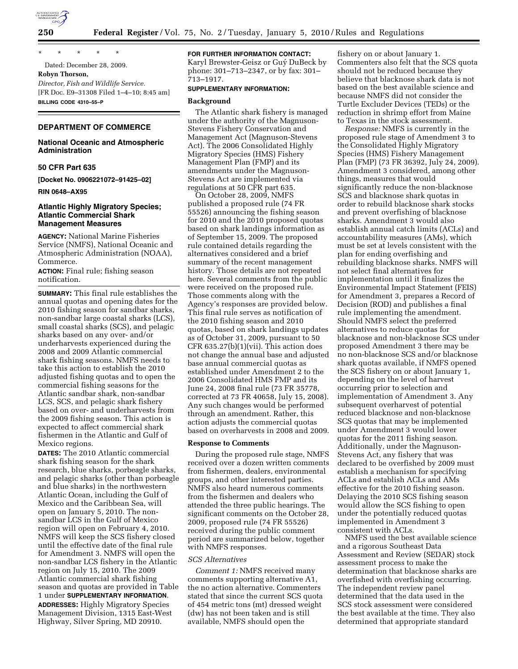

\* \* \* \* \* Dated: December 28, 2009.

# **Robyn Thorson,**

*Director, Fish and Wildlife Service.*  [FR Doc. E9–31308 Filed 1–4–10; 8:45 am] **BILLING CODE 4310–55–P** 

# **DEPARTMENT OF COMMERCE**

# **National Oceanic and Atmospheric Administration**

# **50 CFR Part 635**

**[Docket No. 0906221072–91425–02]** 

**RIN 0648–AX95** 

### **Atlantic Highly Migratory Species; Atlantic Commercial Shark Management Measures**

**AGENCY:** National Marine Fisheries Service (NMFS), National Oceanic and Atmospheric Administration (NOAA), Commerce.

**ACTION:** Final rule; fishing season notification.

**SUMMARY:** This final rule establishes the annual quotas and opening dates for the 2010 fishing season for sandbar sharks, non-sandbar large coastal sharks (LCS), small coastal sharks (SCS), and pelagic sharks based on any over- and/or underharvests experienced during the 2008 and 2009 Atlantic commercial shark fishing seasons. NMFS needs to take this action to establish the 2010 adjusted fishing quotas and to open the commercial fishing seasons for the Atlantic sandbar shark, non-sandbar LCS, SCS, and pelagic shark fishery based on over- and underharvests from the 2009 fishing season. This action is expected to affect commercial shark fishermen in the Atlantic and Gulf of Mexico regions.

**DATES:** The 2010 Atlantic commercial shark fishing season for the shark research, blue sharks, porbeagle sharks, and pelagic sharks (other than porbeagle and blue sharks) in the northwestern Atlantic Ocean, including the Gulf of Mexico and the Caribbean Sea, will open on January 5, 2010. The nonsandbar LCS in the Gulf of Mexico region will open on February 4, 2010. NMFS will keep the SCS fishery closed until the effective date of the final rule for Amendment 3. NMFS will open the non-sandbar LCS fishery in the Atlantic region on July 15, 2010. The 2009 Atlantic commercial shark fishing season and quotas are provided in Table 1 under **SUPPLEMENTARY INFORMATION**.

**ADDRESSES:** Highly Migratory Species Management Division, 1315 East-West Highway, Silver Spring, MD 20910.

## **FOR FURTHER INFORMATION CONTACT:**

Karyl Brewster-Geisz or Guy´ DuBeck by phone: 301–713–2347, or by fax: 301– 713–1917.

### **SUPPLEMENTARY INFORMATION:**

### **Background**

The Atlantic shark fishery is managed under the authority of the Magnuson-Stevens Fishery Conservation and Management Act (Magnuson-Stevens Act). The 2006 Consolidated Highly Migratory Species (HMS) Fishery Management Plan (FMP) and its amendments under the Magnuson-Stevens Act are implemented via regulations at 50 CFR part 635.

On October 28, 2009, NMFS published a proposed rule (74 FR 55526) announcing the fishing season for 2010 and the 2010 proposed quotas based on shark landings information as of September 15, 2009. The proposed rule contained details regarding the alternatives considered and a brief summary of the recent management history. Those details are not repeated here. Several comments from the public were received on the proposed rule. Those comments along with the Agency's responses are provided below. This final rule serves as notification of the 2010 fishing season and 2010 quotas, based on shark landings updates as of October 31, 2009, pursuant to 50 CFR 635.27(b)(1)(vii). This action does not change the annual base and adjusted base annual commercial quotas as established under Amendment 2 to the 2006 Consolidated HMS FMP and its June 24, 2008 final rule (73 FR 35778, corrected at 73 FR 40658, July 15, 2008). Any such changes would be performed through an amendment. Rather, this action adjusts the commercial quotas based on overharvests in 2008 and 2009.

### **Response to Comments**

During the proposed rule stage, NMFS received over a dozen written comments from fishermen, dealers, environmental groups, and other interested parties. NMFS also heard numerous comments from the fishermen and dealers who attended the three public hearings. The significant comments on the October 28, 2009, proposed rule (74 FR 55526) received during the public comment period are summarized below, together with NMFS responses.

## *SCS Alternatives*

*Comment 1:* NMFS received many comments supporting alternative A1, the no action alternative. Commenters stated that since the current SCS quota of 454 metric tons (mt) dressed weight (dw) has not been taken and is still available, NMFS should open the

fishery on or about January 1. Commenters also felt that the SCS quota should not be reduced because they believe that blacknose shark data is not based on the best available science and because NMFS did not consider the Turtle Excluder Devices (TEDs) or the reduction in shrimp effort from Maine to Texas in the stock assessment.

*Response:* NMFS is currently in the proposed rule stage of Amendment 3 to the Consolidated Highly Migratory Species (HMS) Fishery Management Plan (FMP) (73 FR 36392, July 24, 2009). Amendment 3 considered, among other things, measures that would significantly reduce the non-blacknose SCS and blacknose shark quotas in order to rebuild blacknose shark stocks and prevent overfishing of blacknose sharks. Amendment 3 would also establish annual catch limits (ACLs) and accountability measures (AMs), which must be set at levels consistent with the plan for ending overfishing and rebuilding blacknose sharks. NMFS will not select final alternatives for implementation until it finalizes the Environmental Impact Statement (FEIS) for Amendment 3, prepares a Record of Decision (ROD) and publishes a final rule implementing the amendment. Should NMFS select the preferred alternatives to reduce quotas for blacknose and non-blacknose SCS under proposed Amendment 3 there may be no non-blacknose SCS and/or blacknose shark quotas available, if NMFS opened the SCS fishery on or about January 1, depending on the level of harvest occurring prior to selection and implementation of Amendment 3. Any subsequent overharvest of potential reduced blacknose and non-blacknose SCS quotas that may be implemented under Amendment 3 would lower quotas for the 2011 fishing season. Additionally, under the Magnuson-Stevens Act, any fishery that was declared to be overfished by 2009 must establish a mechanism for specifying ACLs and establish ACLs and AMs effective for the 2010 fishing season. Delaying the 2010 SCS fishing season would allow the SCS fishing to open under the potentially reduced quotas implemented in Amendment 3 consistent with ACLs.

NMFS used the best available science and a rigorous Southeast Data Assessment and Review (SEDAR) stock assessment process to make the determination that blacknose sharks are overfished with overfishing occurring. The independent review panel determined that the data used in the SCS stock assessment were considered the best available at the time. They also determined that appropriate standard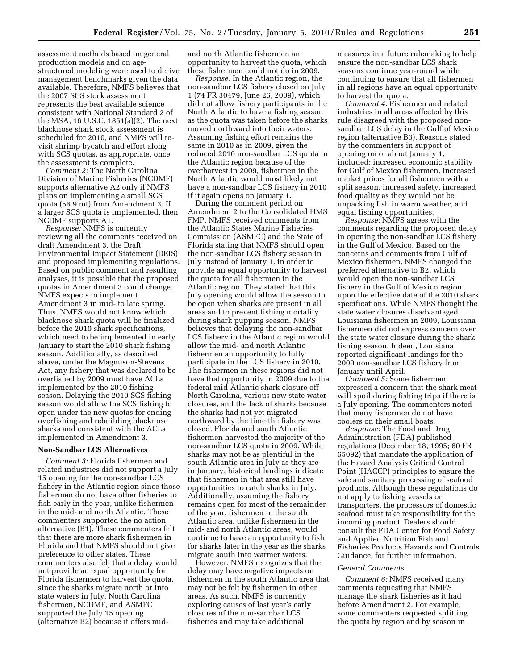assessment methods based on general production models and on agestructured modeling were used to derive management benchmarks given the data available. Therefore, NMFS believes that the 2007 SCS stock assessment represents the best available science consistent with National Standard 2 of the MSA, 16 U.S.C. 1851(a)(2). The next blacknose shark stock assessment is scheduled for 2010, and NMFS will revisit shrimp bycatch and effort along with SCS quotas, as appropriate, once the assessment is complete.

*Comment 2:* The North Carolina Division of Marine Fisheries (NCDMF) supports alternative A2 only if NMFS plans on implementing a small SCS quota (56.9 mt) from Amendment 3. If a larger SCS quota is implemented, then NCDMF supports A1.

*Response:* NMFS is currently reviewing all the comments received on draft Amendment 3, the Draft Environmental Impact Statement (DEIS) and proposed implementing regulations. Based on public comment and resulting analyses, it is possible that the proposed quotas in Amendment 3 could change. NMFS expects to implement Amendment 3 in mid- to late spring. Thus, NMFS would not know which blacknose shark quota will be finalized before the 2010 shark specifications, which need to be implemented in early January to start the 2010 shark fishing season. Additionally, as described above, under the Magnuson-Stevens Act, any fishery that was declared to be overfished by 2009 must have ACLs implemented by the 2010 fishing season. Delaying the 2010 SCS fishing season would allow the SCS fishing to open under the new quotas for ending overfishing and rebuilding blacknose sharks and consistent with the ACLs implemented in Amendment 3.

#### **Non-Sandbar LCS Alternatives**

*Comment 3:* Florida fishermen and related industries did not support a July 15 opening for the non-sandbar LCS fishery in the Atlantic region since those fishermen do not have other fisheries to fish early in the year, unlike fishermen in the mid- and north Atlantic. These commenters supported the no action alternative (B1). These commenters felt that there are more shark fishermen in Florida and that NMFS should not give preference to other states. These commenters also felt that a delay would not provide an equal opportunity for Florida fishermen to harvest the quota, since the sharks migrate north or into state waters in July. North Carolina fishermen, NCDMF, and ASMFC supported the July 15 opening (alternative B2) because it offers midand north Atlantic fishermen an opportunity to harvest the quota, which these fishermen could not do in 2009.

*Response:* In the Atlantic region, the non-sandbar LCS fishery closed on July 1 (74 FR 30479, June 26, 2009), which did not allow fishery participants in the North Atlantic to have a fishing season as the quota was taken before the sharks moved northward into their waters. Assuming fishing effort remains the same in 2010 as in 2009, given the reduced 2010 non-sandbar LCS quota in the Atlantic region because of the overharvest in 2009, fishermen in the North Atlantic would most likely not have a non-sandbar LCS fishery in 2010 if it again opens on January 1.

During the comment period on Amendment 2 to the Consolidated HMS FMP, NMFS received comments from the Atlantic States Marine Fisheries Commission (ASMFC) and the State of Florida stating that NMFS should open the non-sandbar LCS fishery season in July instead of January 1, in order to provide an equal opportunity to harvest the quota for all fishermen in the Atlantic region. They stated that this July opening would allow the season to be open when sharks are present in all areas and to prevent fishing mortality during shark pupping season. NMFS believes that delaying the non-sandbar LCS fishery in the Atlantic region would allow the mid- and north Atlantic fishermen an opportunity to fully participate in the LCS fishery in 2010. The fishermen in these regions did not have that opportunity in 2009 due to the federal mid-Atlantic shark closure off North Carolina, various new state water closures, and the lack of sharks because the sharks had not yet migrated northward by the time the fishery was closed. Florida and south Atlantic fishermen harvested the majority of the non-sandbar LCS quota in 2009. While sharks may not be as plentiful in the south Atlantic area in July as they are in January, historical landings indicate that fishermen in that area still have opportunities to catch sharks in July. Additionally, assuming the fishery remains open for most of the remainder of the year, fishermen in the south Atlantic area, unlike fishermen in the mid- and north Atlantic areas, would continue to have an opportunity to fish for sharks later in the year as the sharks migrate south into warmer waters.

However, NMFS recognizes that the delay may have negative impacts on fishermen in the south Atlantic area that may not be felt by fishermen in other areas. As such, NMFS is currently exploring causes of last year's early closures of the non-sandbar LCS fisheries and may take additional

measures in a future rulemaking to help ensure the non-sandbar LCS shark seasons continue year-round while continuing to ensure that all fishermen in all regions have an equal opportunity to harvest the quota.

*Comment 4:* Fishermen and related industries in all areas affected by this rule disagreed with the proposed nonsandbar LCS delay in the Gulf of Mexico region (alternative B3). Reasons stated by the commenters in support of opening on or about January 1, included: increased economic stability for Gulf of Mexico fishermen, increased market prices for all fishermen with a split season, increased safety, increased food quality as they would not be unpacking fish in warm weather, and equal fishing opportunities.

*Response:* NMFS agrees with the comments regarding the proposed delay in opening the non-sandbar LCS fishery in the Gulf of Mexico. Based on the concerns and comments from Gulf of Mexico fishermen, NMFS changed the preferred alternative to B2, which would open the non-sandbar LCS fishery in the Gulf of Mexico region upon the effective date of the 2010 shark specifications. While NMFS thought the state water closures disadvantaged Louisiana fishermen in 2009, Louisiana fishermen did not express concern over the state water closure during the shark fishing season. Indeed, Louisiana reported significant landings for the 2009 non-sandbar LCS fishery from January until April.

*Comment 5:* Some fishermen expressed a concern that the shark meat will spoil during fishing trips if there is a July opening. The commenters noted that many fishermen do not have coolers on their small boats.

*Response:* The Food and Drug Administration (FDA) published regulations (December 18, 1995; 60 FR 65092) that mandate the application of the Hazard Analysis Critical Control Point (HACCP) principles to ensure the safe and sanitary processing of seafood products. Although these regulations do not apply to fishing vessels or transporters, the processors of domestic seafood must take responsibility for the incoming product. Dealers should consult the FDA Center for Food Safety and Applied Nutrition Fish and Fisheries Products Hazards and Controls Guidance, for further information.

#### *General Comments*

*Comment 6:* NMFS received many comments requesting that NMFS manage the shark fisheries as it had before Amendment 2. For example, some commenters requested splitting the quota by region and by season in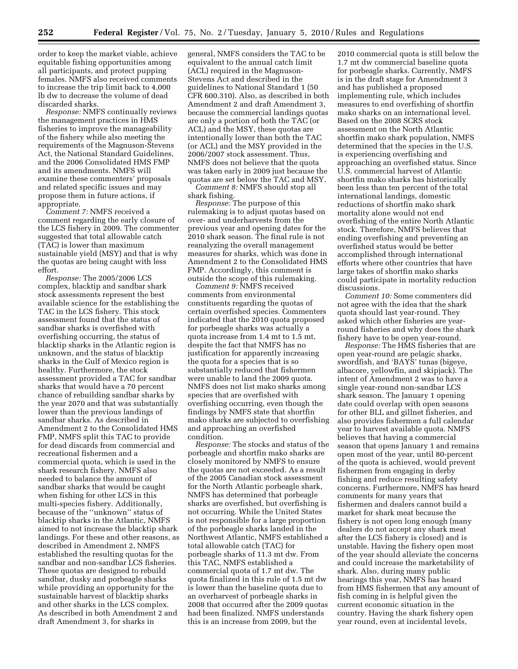order to keep the market viable, achieve equitable fishing opportunities among all participants, and protect pupping females. NMFS also received comments to increase the trip limit back to 4,000 lb dw to decrease the volume of dead discarded sharks.

*Response:* NMFS continually reviews the management practices in HMS fisheries to improve the manageability of the fishery while also meeting the requirements of the Magnuson-Stevens Act, the National Standard Guidelines, and the 2006 Consolidated HMS FMP and its amendments. NMFS will examine these commenters' proposals and related specific issues and may propose them in future actions, if appropriate.

*Comment 7:* NMFS received a comment regarding the early closure of the LCS fishery in 2009. The commenter suggested that total allowable catch (TAC) is lower than maximum sustainable yield (MSY) and that is why the quotas are being caught with less effort.

*Response:* The 2005/2006 LCS complex, blacktip and sandbar shark stock assessments represent the best available science for the establishing the TAC in the LCS fishery. This stock assessment found that the status of sandbar sharks is overfished with overfishing occurring, the status of blacktip sharks in the Atlantic region is unknown, and the status of blacktip sharks in the Gulf of Mexico region is healthy. Furthermore, the stock assessment provided a TAC for sandbar sharks that would have a 70 percent chance of rebuilding sandbar sharks by the year 2070 and that was substantially lower than the previous landings of sandbar sharks. As described in Amendment 2 to the Consolidated HMS FMP, NMFS split this TAC to provide for dead discards from commercial and recreational fishermen and a commercial quota, which is used in the shark research fishery. NMFS also needed to balance the amount of sandbar sharks that would be caught when fishing for other LCS in this multi-species fishery. Additionally, because of the ''unknown'' status of blacktip sharks in the Atlantic, NMFS aimed to not increase the blacktip shark landings. For these and other reasons, as described in Amendment 2, NMFS established the resulting quotas for the sandbar and non-sandbar LCS fisheries. These quotas are designed to rebuild sandbar, dusky and porbeagle sharks while providing an opportunity for the sustainable harvest of blacktip sharks and other sharks in the LCS complex. As described in both Amendment 2 and draft Amendment 3, for sharks in

general, NMFS considers the TAC to be equivalent to the annual catch limit (ACL) required in the Magnuson-Stevens Act and described in the guidelines to National Standard 1 (50 CFR 600.310). Also, as described in both Amendment 2 and draft Amendment 3, because the commercial landings quotas are only a portion of both the TAC (or ACL) and the MSY, these quotas are intentionally lower than both the TAC (or ACL) and the MSY provided in the 2006/2007 stock assessment. Thus, NMFS does not believe that the quota was taken early in 2009 just because the quotas are set below the TAC and MSY.

*Comment 8:* NMFS should stop all shark fishing.

*Response:* The purpose of this rulemaking is to adjust quotas based on over- and underharvests from the previous year and opening dates for the 2010 shark season. The final rule is not reanalyzing the overall management measures for sharks, which was done in Amendment 2 to the Consolidated HMS FMP. Accordingly, this comment is outside the scope of this rulemaking.

*Comment 9:* NMFS received comments from environmental constituents regarding the quotas of certain overfished species. Commenters indicated that the 2010 quota proposed for porbeagle sharks was actually a quota increase from 1.4 mt to 1.5 mt, despite the fact that NMFS has no justification for apparently increasing the quota for a species that is so substantially reduced that fishermen were unable to land the 2009 quota. NMFS does not list mako sharks among species that are overfished with overfishing occurring, even though the findings by NMFS state that shortfin mako sharks are subjected to overfishing and approaching an overfished condition.

*Response:* The stocks and status of the porbeagle and shortfin mako sharks are closely monitored by NMFS to ensure the quotas are not exceeded. As a result of the 2005 Canadian stock assessment for the North Atlantic porbeagle shark, NMFS has determined that porbeagle sharks are overfished, but overfishing is not occurring. While the United States is not responsible for a large proportion of the porbeagle sharks landed in the Northwest Atlantic, NMFS established a total allowable catch (TAC) for porbeagle sharks of 11.3 mt dw. From this TAC, NMFS established a commercial quota of 1.7 mt dw. The quota finalized in this rule of 1.5 mt dw is lower than the baseline quota due to an overharvest of porbeagle sharks in 2008 that occurred after the 2009 quotas had been finalized. NMFS understands this is an increase from 2009, but the

2010 commercial quota is still below the 1.7 mt dw commercial baseline quota for porbeagle sharks. Currently, NMFS is in the draft stage for Amendment 3 and has published a proposed implementing rule, which includes measures to end overfishing of shortfin mako sharks on an international level. Based on the 2008 SCRS stock assessment on the North Atlantic shortfin mako shark population, NMFS determined that the species in the U.S. is experiencing overfishing and approaching an overfished status. Since U.S. commercial harvest of Atlantic shortfin mako sharks has historically been less than ten percent of the total international landings, domestic reductions of shortfin mako shark mortality alone would not end overfishing of the entire North Atlantic stock. Therefore, NMFS believes that ending overfishing and preventing an overfished status would be better accomplished through international efforts where other countries that have large takes of shortfin mako sharks could participate in mortality reduction discussions.

*Comment 10:* Some commenters did not agree with the idea that the shark quota should last year-round. They asked which other fisheries are yearround fisheries and why does the shark fishery have to be open year-round.

*Response:* The HMS fisheries that are open year-round are pelagic sharks, swordfish, and 'BAYS' tunas (bigeye, albacore, yellowfin, and skipjack). The intent of Amendment 2 was to have a single year-round non-sandbar LCS shark season. The January 1 opening date could overlap with open seasons for other BLL and gillnet fisheries, and also provides fishermen a full calendar year to harvest available quota. NMFS believes that having a commercial season that opens January 1 and remains open most of the year, until 80-percent of the quota is achieved, would prevent fishermen from engaging in derby fishing and reduce resulting safety concerns. Furthermore, NMFS has heard comments for many years that fishermen and dealers cannot build a market for shark meat because the fishery is not open long enough (many dealers do not accept any shark meat after the LCS fishery is closed) and is unstable. Having the fishery open most of the year should alleviate the concerns and could increase the marketability of shark. Also, during many public hearings this year, NMFS has heard from HMS fishermen that any amount of fish coming in is helpful given the current economic situation in the country. Having the shark fishery open year round, even at incidental levels,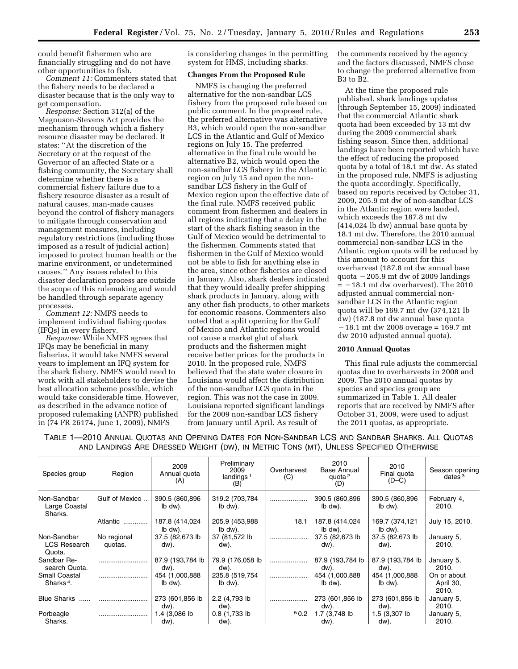could benefit fishermen who are financially struggling and do not have other opportunities to fish.

*Comment 11:* Commenters stated that the fishery needs to be declared a disaster because that is the only way to get compensation.

*Response:* Section 312(a) of the Magnuson-Stevens Act provides the mechanism through which a fishery resource disaster may be declared. It states: ''At the discretion of the Secretary or at the request of the Governor of an affected State or a fishing community, the Secretary shall determine whether there is a commercial fishery failure due to a fishery resource disaster as a result of natural causes, man-made causes beyond the control of fishery managers to mitigate through conservation and management measures, including regulatory restrictions (including those imposed as a result of judicial action) imposed to protect human health or the marine environment, or undetermined causes.'' Any issues related to this disaster declaration process are outside the scope of this rulemaking and would be handled through separate agency processes.

*Comment 12:* NMFS needs to implement individual fishing quotas (IFQs) in every fishery.

*Response:* While NMFS agrees that IFQs may be beneficial in many fisheries, it would take NMFS several years to implement an IFQ system for the shark fishery. NMFS would need to work with all stakeholders to devise the best allocation scheme possible, which would take considerable time. However, as described in the advance notice of proposed rulemaking (ANPR) published in (74 FR 26174, June 1, 2009), NMFS

is considering changes in the permitting system for HMS, including sharks.

# **Changes From the Proposed Rule**

NMFS is changing the preferred alternative for the non-sandbar LCS fishery from the proposed rule based on public comment. In the proposed rule, the preferred alternative was alternative B3, which would open the non-sandbar LCS in the Atlantic and Gulf of Mexico regions on July 15. The preferred alternative in the final rule would be alternative B2, which would open the non-sandbar LCS fishery in the Atlantic region on July 15 and open the nonsandbar LCS fishery in the Gulf of Mexico region upon the effective date of the final rule. NMFS received public comment from fishermen and dealers in all regions indicating that a delay in the start of the shark fishing season in the Gulf of Mexico would be detrimental to the fishermen. Comments stated that fishermen in the Gulf of Mexico would not be able to fish for anything else in the area, since other fisheries are closed in January. Also, shark dealers indicated that they would ideally prefer shipping shark products in January, along with any other fish products, to other markets for economic reasons. Commenters also noted that a split opening for the Gulf of Mexico and Atlantic regions would not cause a market glut of shark products and the fishermen might receive better prices for the products in 2010. In the proposed rule, NMFS believed that the state water closure in Louisiana would affect the distribution of the non-sandbar LCS quota in the region. This was not the case in 2009. Louisiana reported significant landings for the 2009 non-sandbar LCS fishery from January until April. As result of

the comments received by the agency and the factors discussed, NMFS chose to change the preferred alternative from B3 to B2.

At the time the proposed rule published, shark landings updates (through September 15, 2009) indicated that the commercial Atlantic shark quota had been exceeded by 13 mt dw during the 2009 commercial shark fishing season. Since then, additional landings have been reported which have the effect of reducing the proposed quota by a total of 18.1 mt dw. As stated in the proposed rule, NMFS is adjusting the quota accordingly. Specifically, based on reports received by October 31, 2009, 205.9 mt dw of non-sandbar LCS in the Atlantic region were landed, which exceeds the 187.8 mt dw (414,024 lb dw) annual base quota by 18.1 mt dw. Therefore, the 2010 annual commercial non-sandbar LCS in the Atlantic region quota will be reduced by this amount to account for this overharvest (187.8 mt dw annual base quota  $-205.9$  mt dw of 2009 landings  $= -18.1$  mt dw overharvest). The 2010 adjusted annual commercial nonsandbar LCS in the Atlantic region quota will be 169.7 mt dw (374,121 lb dw) (187.8 mt dw annual base quota  $-18.1$  mt dw 2008 overage = 169.7 mt dw 2010 adjusted annual quota).

### **2010 Annual Quotas**

This final rule adjusts the commercial quotas due to overharvests in 2008 and 2009. The 2010 annual quotas by species and species group are summarized in Table 1. All dealer reports that are received by NMFS after October 31, 2009, were used to adjust the 2011 quotas, as appropriate.

TABLE 1—2010 ANNUAL QUOTAS AND OPENING DATES FOR NON-SANDBAR LCS AND SANDBAR SHARKS. ALL QUOTAS AND LANDINGS ARE DRESSED WEIGHT (DW), IN METRIC TONS (MT), UNLESS SPECIFIED OTHERWISE

| Species group                                 | Region                 | 2009<br>Annual quota<br>(A) | Preliminary<br>2009<br>landings $1$<br>(B) | Overharvest<br>(C) | 2010<br>Base Annual<br>quota <sup>2</sup><br>(D) | 2010<br>Final quota<br>$(D-C)$ | Season opening<br>dates $3$       |
|-----------------------------------------------|------------------------|-----------------------------|--------------------------------------------|--------------------|--------------------------------------------------|--------------------------------|-----------------------------------|
| Non-Sandbar<br>Large Coastal<br>Sharks.       | Gulf of Mexico         | 390.5 (860,896)<br>lb dw).  | 319.2 (703,784)<br>lb dw).                 |                    | 390.5 (860,896)<br>lb dw).                       | 390.5 (860,896)<br>lb dw).     | February 4,<br>2010.              |
|                                               | Atlantic               | 187.8 (414,024<br>Ib dw).   | 205.9 (453,988)<br>lb dw).                 | 18.1               | 187.8 (414,024<br>lb dw).                        | 169.7 (374,121<br>lb dw).      | July 15, 2010.                    |
| Non-Sandbar<br><b>LCS Research</b><br>Quota.  | No regional<br>quotas. | 37.5 (82,673 lb)<br>dw).    | 37 (81,572 lb)<br>dw).                     |                    | 37.5 (82,673 lb)<br>dw).                         | 37.5 (82,673 lb)<br>dw).       | January 5,<br>2010.               |
| Sandbar Re-<br>search Quota.                  |                        | 87.9 (193,784 lb)<br>dw).   | 79.9 (176,058 lb<br>dw).                   |                    | 87.9 (193,784 lb)<br>dw).                        | 87.9 (193,784 lb)<br>dw).      | January 5,<br>2010.               |
| <b>Small Coastal</b><br>Sharks <sup>4</sup> . |                        | 454 (1,000,888)<br>lb dw).  | 235.8 (519,754<br>lb dw).                  |                    | 454 (1,000,888)<br>lb dw).                       | 454 (1,000,888)<br>lb dw).     | On or about<br>April 30,<br>2010. |
| <b>Blue Sharks</b><br>                        |                        | 273 (601,856 lb<br>dw).     | 2.2 (4,793 lb)<br>dw).                     |                    | 273 (601,856 lb<br>dw).                          | 273 (601,856 lb<br>dw).        | January 5,<br>2010.               |
| Porbeagle<br>Sharks.                          |                        | 1.4 (3,086 lb<br>dw).       | $0.8(1,733$ lb<br>dw).                     | 50.2               | 1.7 (3,748 lb<br>dw).                            | 1.5 (3,307 lb<br>dw).          | January 5,<br>2010.               |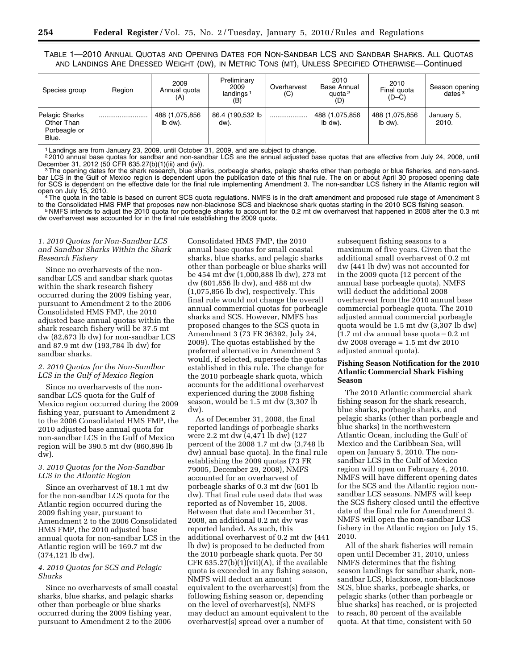TABLE 1—2010 ANNUAL QUOTAS AND OPENING DATES FOR NON-SANDBAR LCS AND SANDBAR SHARKS. ALL QUOTAS AND LANDINGS ARE DRESSED WEIGHT (DW), IN METRIC TONS (MT), UNLESS SPECIFIED OTHERWISE—Continued

| Species group                                         | Region | 2009<br>Annual quota<br>(A) | Preliminary<br>2009<br>landings <sup>1</sup><br>(B) | Overharvest<br>(C) | 2010<br>Base Annual<br>quota <sup>2</sup><br>(D) | 2010<br>Final guota<br>$(D-C)$ | Season opening<br>dates $3$ |
|-------------------------------------------------------|--------|-----------------------------|-----------------------------------------------------|--------------------|--------------------------------------------------|--------------------------------|-----------------------------|
| Pelagic Sharks<br>Other Than<br>Porbeagle or<br>Blue. |        | 488 (1,075,856<br>lb dw).   | 86.4 (190,532 lb<br>dw).                            | .                  | 488 (1,075,856<br>lb dw).                        | 488 (1,075,856<br>lb dw).      | January 5,<br>2010.         |

1 Landings are from January 23, 2009, until October 31, 2009, and are subject to change.

 $^{2}$ 2010 annual base quotas for sandbar and non-sandbar LCS are the annual adjusted base quotas that are effective from July 24, 2008, until December 31, 2012 (50 CFR 635.27(b)(1)(iii) and (iv)).

<sup>3</sup>The opening dates for the shark research, blue sharks, porbeagle sharks, pelagic sharks other than porbegle or blue fisheries, and non-sandbar LCS in the Gulf of Mexico region is dependent upon the publication date of this final rule. The on or about April 30 proposed opening date for SCS is dependent on the effective date for the final rule implementing Amendment 3. The non-sandbar LCS fishery in the Atlantic region will<br>open on July 15, 2010.

<sup>4</sup> The quota in the table is based on current SCS quota regulations. NMFS is in the draft amendment and proposed rule stage of Amendment 3 to the Consolidated HMS FMP that proposes new non-blacknose SCS and blacknose shar 5 NMFS intends to adjust the 2010 quota for porbeagle sharks to account for the 0.2 mt dw overharvest that happened in 2008 after the 0.3 mt dw overharvest was accounted for in the final rule establishing the 2009 quota.

### *1. 2010 Quotas for Non-Sandbar LCS and Sandbar Sharks Within the Shark Research Fishery*

Since no overharvests of the nonsandbar LCS and sandbar shark quotas within the shark research fishery occurred during the 2009 fishing year, pursuant to Amendment 2 to the 2006 Consolidated HMS FMP, the 2010 adjusted base annual quotas within the shark research fishery will be 37.5 mt dw (82,673 lb dw) for non-sandbar LCS and 87.9 mt dw (193,784 lb dw) for sandbar sharks.

### *2. 2010 Quotas for the Non-Sandbar LCS in the Gulf of Mexico Region*

Since no overharvests of the nonsandbar LCS quota for the Gulf of Mexico region occurred during the 2009 fishing year, pursuant to Amendment 2 to the 2006 Consolidated HMS FMP, the 2010 adjusted base annual quota for non-sandbar LCS in the Gulf of Mexico region will be 390.5 mt dw (860,896 lb dw).

# *3. 2010 Quotas for the Non-Sandbar LCS in the Atlantic Region*

Since an overharvest of 18.1 mt dw for the non-sandbar LCS quota for the Atlantic region occurred during the 2009 fishing year, pursuant to Amendment 2 to the 2006 Consolidated HMS FMP, the 2010 adjusted base annual quota for non-sandbar LCS in the Atlantic region will be 169.7 mt dw (374,121 lb dw).

# *4. 2010 Quotas for SCS and Pelagic Sharks*

Since no overharvests of small coastal sharks, blue sharks, and pelagic sharks other than porbeagle or blue sharks occurred during the 2009 fishing year, pursuant to Amendment 2 to the 2006

Consolidated HMS FMP, the 2010 annual base quotas for small coastal sharks, blue sharks, and pelagic sharks other than porbeagle or blue sharks will be 454 mt dw (1,000,888 lb dw), 273 mt dw (601,856 lb dw), and 488 mt dw (1,075,856 lb dw), respectively. This final rule would not change the overall annual commercial quotas for porbeagle sharks and SCS. However, NMFS has proposed changes to the SCS quota in Amendment 3 (73 FR 36392, July 24, 2009). The quotas established by the preferred alternative in Amendment 3 would, if selected, supersede the quotas established in this rule. The change for the 2010 porbeagle shark quota, which accounts for the additional overharvest experienced during the 2008 fishing season, would be 1.5 mt dw (3,307 lb dw).

As of December 31, 2008, the final reported landings of porbeagle sharks were 2.2 mt dw (4,471 lb dw) (127 percent of the 2008 1.7 mt dw (3,748 lb dw) annual base quota). In the final rule establishing the 2009 quotas (73 FR 79005, December 29, 2008), NMFS accounted for an overharvest of porbeagle sharks of 0.3 mt dw (601 lb dw). That final rule used data that was reported as of November 15, 2008. Between that date and December 31, 2008, an additional 0.2 mt dw was reported landed. As such, this additional overharvest of 0.2 mt dw (441 lb dw) is proposed to be deducted from the 2010 porbeagle shark quota. Per 50 CFR  $635.27(b)(1)(vii)(A)$ , if the available quota is exceeded in any fishing season, NMFS will deduct an amount equivalent to the overharvest(s) from the following fishing season or, depending on the level of overharvest(s), NMFS may deduct an amount equivalent to the overharvest(s) spread over a number of

subsequent fishing seasons to a maximum of five years. Given that the additional small overharvest of 0.2 mt dw (441 lb dw) was not accounted for in the 2009 quota (12 percent of the annual base porbeagle quota), NMFS will deduct the additional 2008 overharvest from the 2010 annual base commercial porbeagle quota. The 2010 adjusted annual commercial porbeagle quota would be 1.5 mt dw (3,307 lb dw)  $(1.7 \text{ mt dw annual base quota} - 0.2 \text{ mt})$ dw 2008 overage = 1.5 mt dw 2010 adjusted annual quota).

# **Fishing Season Notification for the 2010 Atlantic Commercial Shark Fishing Season**

The 2010 Atlantic commercial shark fishing season for the shark research, blue sharks, porbeagle sharks, and pelagic sharks (other than porbeagle and blue sharks) in the northwestern Atlantic Ocean, including the Gulf of Mexico and the Caribbean Sea, will open on January 5, 2010. The nonsandbar LCS in the Gulf of Mexico region will open on February 4, 2010. NMFS will have different opening dates for the SCS and the Atlantic region nonsandbar LCS seasons. NMFS will keep the SCS fishery closed until the effective date of the final rule for Amendment 3. NMFS will open the non-sandbar LCS fishery in the Atlantic region on July 15, 2010.

All of the shark fisheries will remain open until December 31, 2010, unless NMFS determines that the fishing season landings for sandbar shark, nonsandbar LCS, blacknose, non-blacknose SCS, blue sharks, porbeagle sharks, or pelagic sharks (other than porbeagle or blue sharks) has reached, or is projected to reach, 80 percent of the available quota. At that time, consistent with 50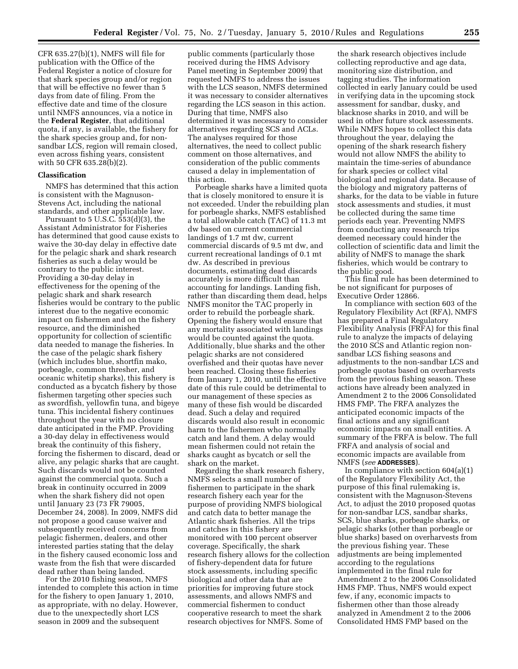CFR 635.27(b)(1), NMFS will file for publication with the Office of the Federal Register a notice of closure for that shark species group and/or region that will be effective no fewer than 5 days from date of filing. From the effective date and time of the closure until NMFS announces, via a notice in the **Federal Register**, that additional quota, if any, is available, the fishery for the shark species group and, for nonsandbar LCS, region will remain closed, even across fishing years, consistent with 50 CFR 635.28(b)(2).

### **Classification**

NMFS has determined that this action is consistent with the Magnuson-Stevens Act, including the national standards, and other applicable law.

Pursuant to  $5 \text{ U.S.C.}$   $\overline{5}53(d)(3)$ , the Assistant Administrator for Fisheries has determined that good cause exists to waive the 30-day delay in effective date for the pelagic shark and shark research fisheries as such a delay would be contrary to the public interest. Providing a 30-day delay in effectiveness for the opening of the pelagic shark and shark research fisheries would be contrary to the public interest due to the negative economic impact on fishermen and on the fishery resource, and the diminished opportunity for collection of scientific data needed to manage the fisheries. In the case of the pelagic shark fishery (which includes blue, shortfin mako, porbeagle, common thresher, and oceanic whitetip sharks), this fishery is conducted as a bycatch fishery by those fishermen targeting other species such as swordfish, yellowfin tuna, and bigeye tuna. This incidental fishery continues throughout the year with no closure date anticipated in the FMP. Providing a 30-day delay in effectiveness would break the continuity of this fishery, forcing the fishermen to discard, dead or alive, any pelagic sharks that are caught. Such discards would not be counted against the commercial quota. Such a break in continuity occurred in 2009 when the shark fishery did not open until January 23 (73 FR 79005, December 24, 2008). In 2009, NMFS did not propose a good cause waiver and subsequently received concerns from pelagic fishermen, dealers, and other interested parties stating that the delay in the fishery caused economic loss and waste from the fish that were discarded dead rather than being landed.

For the 2010 fishing season, NMFS intended to complete this action in time for the fishery to open January 1, 2010, as appropriate, with no delay. However, due to the unexpectedly short LCS season in 2009 and the subsequent

public comments (particularly those received during the HMS Advisory Panel meeting in September 2009) that requested NMFS to address the issues with the LCS season, NMFS determined it was necessary to consider alternatives regarding the LCS season in this action. During that time, NMFS also determined it was necessary to consider alternatives regarding SCS and ACLs. The analyses required for those alternatives, the need to collect public comment on those alternatives, and consideration of the public comments caused a delay in implementation of this action.

Porbeagle sharks have a limited quota that is closely monitored to ensure it is not exceeded. Under the rebuilding plan for porbeagle sharks, NMFS established a total allowable catch (TAC) of 11.3 mt dw based on current commercial landings of 1.7 mt dw, current commercial discards of 9.5 mt dw, and current recreational landings of 0.1 mt dw. As described in previous documents, estimating dead discards accurately is more difficult than accounting for landings. Landing fish, rather than discarding them dead, helps NMFS monitor the TAC properly in order to rebuild the porbeagle shark. Opening the fishery would ensure that any mortality associated with landings would be counted against the quota. Additionally, blue sharks and the other pelagic sharks are not considered overfished and their quotas have never been reached. Closing these fisheries from January 1, 2010, until the effective date of this rule could be detrimental to our management of these species as many of these fish would be discarded dead. Such a delay and required discards would also result in economic harm to the fishermen who normally catch and land them. A delay would mean fishermen could not retain the sharks caught as bycatch or sell the shark on the market.

Regarding the shark research fishery, NMFS selects a small number of fishermen to participate in the shark research fishery each year for the purpose of providing NMFS biological and catch data to better manage the Atlantic shark fisheries. All the trips and catches in this fishery are monitored with 100 percent observer coverage. Specifically, the shark research fishery allows for the collection of fishery-dependent data for future stock assessments, including specific biological and other data that are priorities for improving future stock assessments, and allows NMFS and commercial fishermen to conduct cooperative research to meet the shark research objectives for NMFS. Some of

the shark research objectives include collecting reproductive and age data, monitoring size distribution, and tagging studies. The information collected in early January could be used in verifying data in the upcoming stock assessment for sandbar, dusky, and blacknose sharks in 2010, and will be used in other future stock assessments. While NMFS hopes to collect this data throughout the year, delaying the opening of the shark research fishery would not allow NMFS the ability to maintain the time-series of abundance for shark species or collect vital biological and regional data. Because of the biology and migratory patterns of sharks, for the data to be viable in future stock assessments and studies, it must be collected during the same time periods each year. Preventing NMFS from conducting any research trips deemed necessary could hinder the collection of scientific data and limit the ability of NMFS to manage the shark fisheries, which would be contrary to the public good.

This final rule has been determined to be not significant for purposes of Executive Order 12866.

In compliance with section 603 of the Regulatory Flexibility Act (RFA), NMFS has prepared a Final Regulatory Flexibility Analysis (FRFA) for this final rule to analyze the impacts of delaying the 2010 SCS and Atlantic region nonsandbar LCS fishing seasons and adjustments to the non-sandbar LCS and porbeagle quotas based on overharvests from the previous fishing season. These actions have already been analyzed in Amendment 2 to the 2006 Consolidated HMS FMP. The FRFA analyzes the anticipated economic impacts of the final actions and any significant economic impacts on small entities. A summary of the FRFA is below. The full FRFA and analysis of social and economic impacts are available from NMFS (*see* **ADDRESSES**).

In compliance with section 604(a)(1) of the Regulatory Flexibility Act, the purpose of this final rulemaking is, consistent with the Magnuson-Stevens Act, to adjust the 2010 proposed quotas for non-sandbar LCS, sandbar sharks, SCS, blue sharks, porbeagle sharks, or pelagic sharks (other than porbeagle or blue sharks) based on overharvests from the previous fishing year. These adjustments are being implemented according to the regulations implemented in the final rule for Amendment 2 to the 2006 Consolidated HMS FMP. Thus, NMFS would expect few, if any, economic impacts to fishermen other than those already analyzed in Amendment 2 to the 2006 Consolidated HMS FMP based on the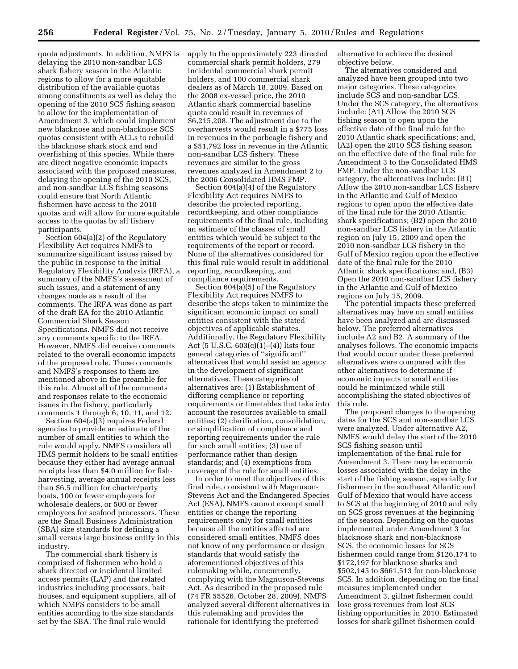quota adjustments. In addition, NMFS is delaying the 2010 non-sandbar LCS shark fishery season in the Atlantic regions to allow for a more equitable distribution of the available quotas among constituents as well as delay the opening of the 2010 SCS fishing season to allow for the implementation of Amendment 3, which could implement new blacknose and non-blacknose SCS quotas consistent with ACLs to rebuild the blacknose shark stock and end overfishing of this species. While there are direct negative economic impacts associated with the proposed measures, delaying the opening of the 2010 SCS, and non-sandbar LCS fishing seasons could ensure that North Atlantic fishermen have access to the 2010 quotas and will allow for more equitable access to the quotas by all fishery participants.

Section 604(a)(2) of the Regulatory Flexibility Act requires NMFS to summarize significant issues raised by the public in response to the Initial Regulatory Flexibility Analysis (IRFA), a summary of the NMFS's assessment of such issues, and a statement of any changes made as a result of the comments. The IRFA was done as part of the draft EA for the 2010 Atlantic Commercial Shark Season Specifications. NMFS did not receive any comments specific to the IRFA. However, NMFS did receive comments related to the overall economic impacts of the proposed rule. Those comments and NMFS's responses to them are mentioned above in the preamble for this rule. Almost all of the comments and responses relate to the economic issues in the fishery, particularly comments 1 through 6, 10, 11, and 12.

Section 604(a)(3) requires Federal agencies to provide an estimate of the number of small entities to which the rule would apply. NMFS considers all HMS permit holders to be small entities because they either had average annual receipts less than \$4.0 million for fishharvesting, average annual receipts less than \$6.5 million for charter/party boats, 100 or fewer employees for wholesale dealers, or 500 or fewer employees for seafood processors. These are the Small Business Administration (SBA) size standards for defining a small versus large business entity in this industry.

The commercial shark fishery is comprised of fishermen who hold a shark directed or incidental limited access permits (LAP) and the related industries including processors, bait houses, and equipment suppliers, all of which NMFS considers to be small entities according to the size standards set by the SBA. The final rule would

apply to the approximately 223 directed commercial shark permit holders, 279 incidental commercial shark permit holders, and 100 commercial shark dealers as of March 18, 2009. Based on the 2008 ex-vessel price, the 2010 Atlantic shark commercial baseline quota could result in revenues of \$6,215,208. The adjustment due to the overharvests would result in a \$775 loss in revenues in the porbeagle fishery and a \$51,792 loss in revenue in the Atlantic non-sandbar LCS fishery. These revenues are similar to the gross revenues analyzed in Amendment 2 to the 2006 Consolidated HMS FMP.

Section 604(a)(4) of the Regulatory Flexibility Act requires NMFS to describe the projected reporting, recordkeeping, and other compliance requirements of the final rule, including an estimate of the classes of small entities which would be subject to the requirements of the report or record. None of the alternatives considered for this final rule would result in additional reporting, recordkeeping, and compliance requirements.

Section 604(a)(5) of the Regulatory Flexibility Act requires NMFS to describe the steps taken to minimize the significant economic impact on small entities consistent with the stated objectives of applicable statutes. Additionally, the Regulatory Flexibility Act (5 U.S.C.  $603(c)(1)–(4)$ ) lists four general categories of ''significant'' alternatives that would assist an agency in the development of significant alternatives. These categories of alternatives are: (1) Establishment of differing compliance or reporting requirements or timetables that take into account the resources available to small entities; (2) clarification, consolidation, or simplification of compliance and reporting requirements under the rule for such small entities; (3) use of performance rather than design standards; and (4) exemptions from coverage of the rule for small entities.

In order to meet the objectives of this final rule, consistent with Magnuson-Stevens Act and the Endangered Species Act (ESA), NMFS cannot exempt small entities or change the reporting requirements only for small entities because all the entities affected are considered small entities. NMFS does not know of any performance or design standards that would satisfy the aforementioned objectives of this rulemaking while, concurrently, complying with the Magnuson-Stevens Act. As described in the proposed rule (74 FR 55526, October 28, 2009), NMFS analyzed several different alternatives in this rulemaking and provides the rationale for identifying the preferred

alternative to achieve the desired objective below.

The alternatives considered and analyzed have been grouped into two major categories. These categories include SCS and non-sandbar LCS. Under the SCS category, the alternatives include: (A1) Allow the 2010 SCS fishing season to open upon the effective date of the final rule for the 2010 Atlantic shark specifications; and, (A2) open the 2010 SCS fishing season on the effective date of the final rule for Amendment 3 to the Consolidated HMS FMP. Under the non-sandbar LCS category, the alternatives include: (B1) Allow the 2010 non-sandbar LCS fishery in the Atlantic and Gulf of Mexico regions to open upon the effective date of the final rule for the 2010 Atlantic shark specifications; (B2) open the 2010 non-sandbar LCS fishery in the Atlantic region on July 15, 2009 and open the 2010 non-sandbar LCS fishery in the Gulf of Mexico region upon the effective date of the final rule for the 2010 Atlantic shark specifications; and, (B3) Open the 2010 non-sandbar LCS fishery in the Atlantic and Gulf of Mexico regions on July 15, 2009.

The potential impacts these preferred alternatives may have on small entities have been analyzed and are discussed below. The preferred alternatives include A2 and B2. A summary of the analyses follows. The economic impacts that would occur under these preferred alternatives were compared with the other alternatives to determine if economic impacts to small entities could be minimized while still accomplishing the stated objectives of this rule.

The proposed changes to the opening dates for the SCS and non-sandbar LCS were analyzed. Under alternative A2, NMFS would delay the start of the 2010 SCS fishing season until implementation of the final rule for Amendment 3. There may be economic losses associated with the delay in the start of the fishing season, especially for fishermen in the southeast Atlantic and Gulf of Mexico that would have access to SCS at the beginning of 2010 and rely on SCS gross revenues at the beginning of the season. Depending on the quotas implemented under Amendment 3 for blacknose shark and non-blacknose SCS, the economic losses for SCS fishermen could range from \$126,174 to \$172,197 for blacknose sharks and \$502,145 to \$661,513 for non-blacknose SCS. In addition, depending on the final measures implemented under Amendment 3, gillnet fishermen could lose gross revenues from lost SCS fishing opportunities in 2010. Estimated losses for shark gillnet fishermen could